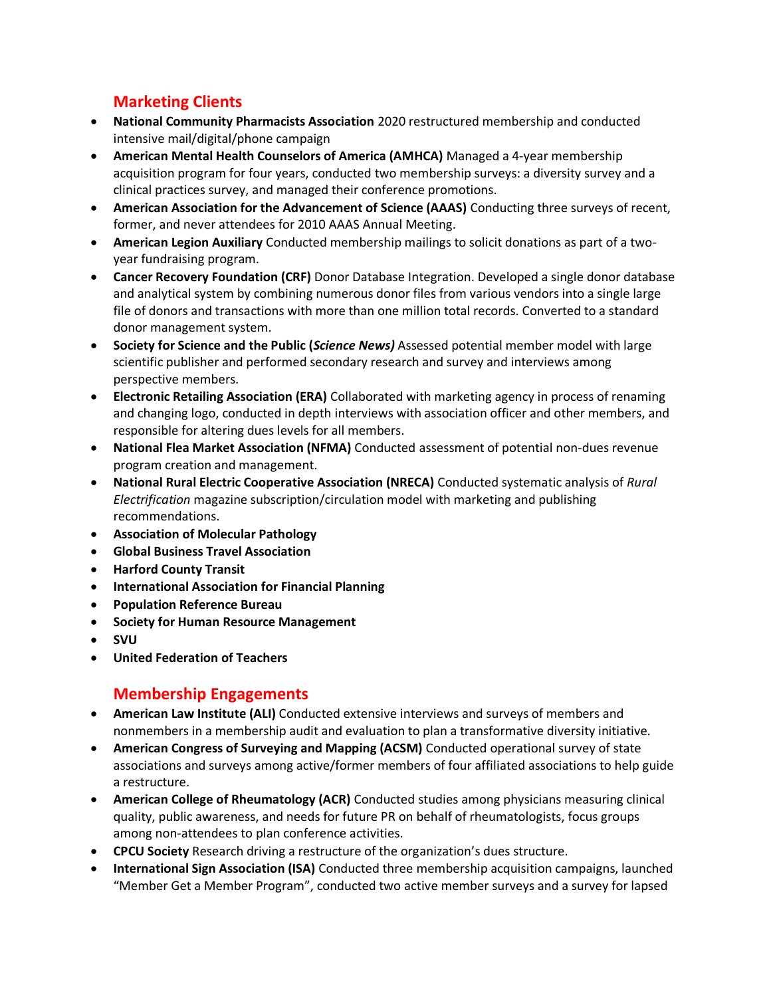## **Marketing Clients**

- **National Community Pharmacists Association** 2020 restructured membership and conducted intensive mail/digital/phone campaign
- **American Mental Health Counselors of America (AMHCA)** Managed a 4-year membership acquisition program for four years, conducted two membership surveys: a diversity survey and a clinical practices survey, and managed their conference promotions.
- **American Association for the Advancement of Science (AAAS)** Conducting three surveys of recent, former, and never attendees for 2010 AAAS Annual Meeting.
- **American Legion Auxiliary** Conducted membership mailings to solicit donations as part of a twoyear fundraising program.
- **Cancer Recovery Foundation (CRF)** Donor Database Integration. Developed a single donor database and analytical system by combining numerous donor files from various vendors into a single large file of donors and transactions with more than one million total records. Converted to a standard donor management system.
- **Society for Science and the Public (***Science News)* Assessed potential member model with large scientific publisher and performed secondary research and survey and interviews among perspective members.
- **Electronic Retailing Association (ERA)** Collaborated with marketing agency in process of renaming and changing logo, conducted in depth interviews with association officer and other members, and responsible for altering dues levels for all members.
- **National Flea Market Association (NFMA)** Conducted assessment of potential non-dues revenue program creation and management.
- **National Rural Electric Cooperative Association (NRECA)** Conducted systematic analysis of *Rural Electrification* magazine subscription/circulation model with marketing and publishing recommendations.
- **Association of Molecular Pathology**
- **Global Business Travel Association**
- **Harford County Transit**
- **International Association for Financial Planning**
- **Population Reference Bureau**
- **Society for Human Resource Management**
- **SVU**
- **United Federation of Teachers**

## **Membership Engagements**

- **American Law Institute (ALI)** Conducted extensive interviews and surveys of members and nonmembers in a membership audit and evaluation to plan a transformative diversity initiative.
- **American Congress of Surveying and Mapping (ACSM)** Conducted operational survey of state associations and surveys among active/former members of four affiliated associations to help guide a restructure.
- **American College of Rheumatology (ACR)** Conducted studies among physicians measuring clinical quality, public awareness, and needs for future PR on behalf of rheumatologists, focus groups among non-attendees to plan conference activities.
- **CPCU Society** Research driving a restructure of the organization's dues structure.
- **International Sign Association (ISA)** Conducted three membership acquisition campaigns, launched "Member Get a Member Program", conducted two active member surveys and a survey for lapsed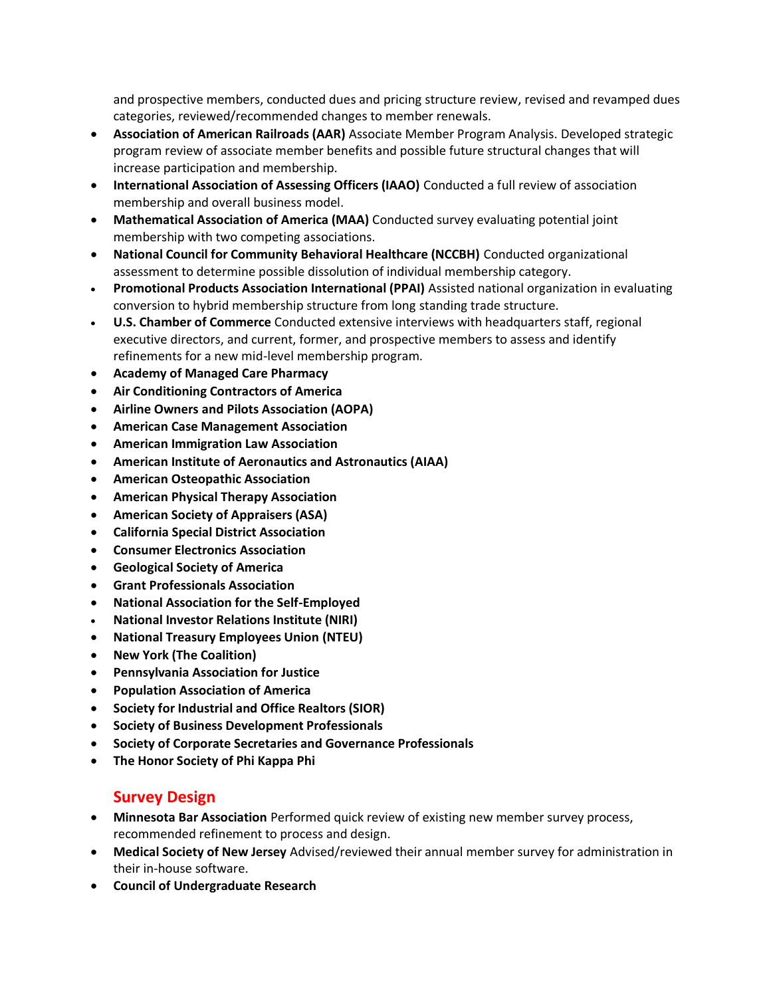and prospective members, conducted dues and pricing structure review, revised and revamped dues categories, reviewed/recommended changes to member renewals.

- **Association of American Railroads (AAR)** Associate Member Program Analysis. Developed strategic program review of associate member benefits and possible future structural changes that will increase participation and membership.
- **International Association of Assessing Officers (IAAO)** Conducted a full review of association membership and overall business model.
- **Mathematical Association of America (MAA)** Conducted survey evaluating potential joint membership with two competing associations.
- **National Council for Community Behavioral Healthcare (NCCBH)** Conducted organizational assessment to determine possible dissolution of individual membership category.
- **Promotional Products Association International (PPAI)** Assisted national organization in evaluating conversion to hybrid membership structure from long standing trade structure.
- **U.S. Chamber of Commerce** Conducted extensive interviews with headquarters staff, regional executive directors, and current, former, and prospective members to assess and identify refinements for a new mid-level membership program.
- **Academy of Managed Care Pharmacy**
- **Air Conditioning Contractors of America**
- **Airline Owners and Pilots Association (AOPA)**
- **American Case Management Association**
- **American Immigration Law Association**
- **American Institute of Aeronautics and Astronautics (AIAA)**
- **American Osteopathic Association**
- **American Physical Therapy Association**
- **American Society of Appraisers (ASA)**
- **California Special District Association**
- **Consumer Electronics Association**
- **Geological Society of America**
- **Grant Professionals Association**
- **National Association for the Self-Employed**
- **National Investor Relations Institute (NIRI)**
- **National Treasury Employees Union (NTEU)**
- **New York (The Coalition)**
- **Pennsylvania Association for Justice**
- **Population Association of America**
- **Society for Industrial and Office Realtors (SIOR)**
- **Society of Business Development Professionals**
- **Society of Corporate Secretaries and Governance Professionals**
- **The Honor Society of Phi Kappa Phi**

### **Survey Design**

- **Minnesota Bar Association** Performed quick review of existing new member survey process, recommended refinement to process and design.
- **Medical Society of New Jersey** Advised/reviewed their annual member survey for administration in their in-house software.
- **Council of Undergraduate Research**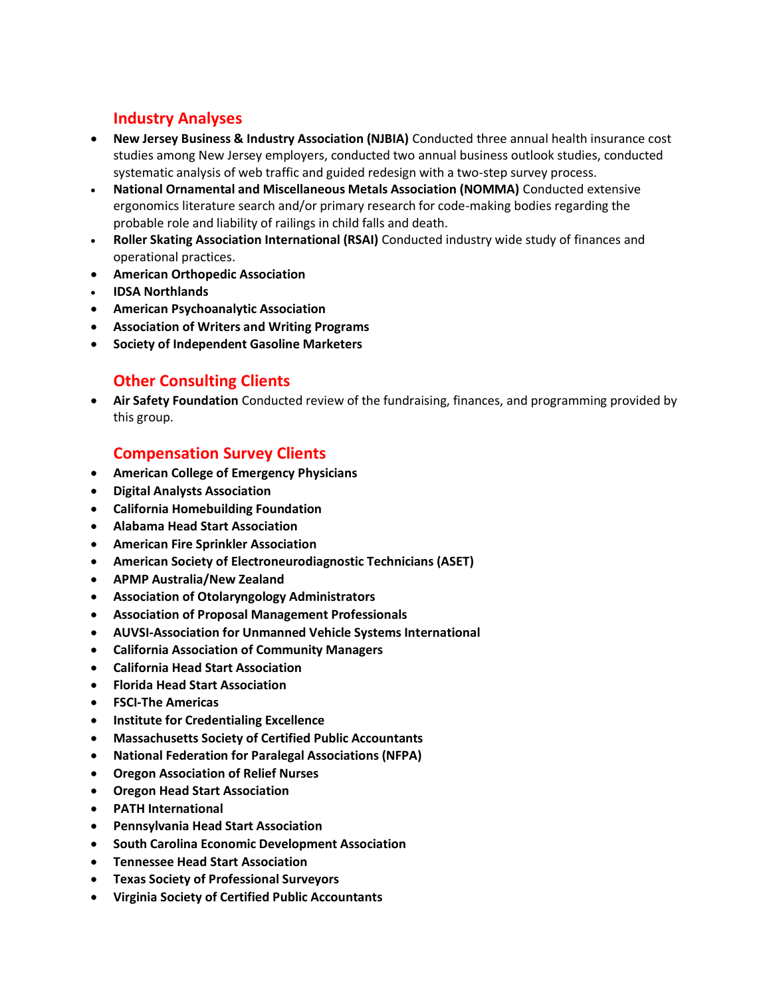## **Industry Analyses**

- **New Jersey Business & Industry Association (NJBIA)** Conducted three annual health insurance cost studies among New Jersey employers, conducted two annual business outlook studies, conducted systematic analysis of web traffic and guided redesign with a two-step survey process.
- **National Ornamental and Miscellaneous Metals Association (NOMMA)** Conducted extensive ergonomics literature search and/or primary research for code-making bodies regarding the probable role and liability of railings in child falls and death.
- **Roller Skating Association International (RSAI)** Conducted industry wide study of finances and operational practices.
- **American Orthopedic Association**
- **IDSA Northlands**
- **American Psychoanalytic Association**
- **Association of Writers and Writing Programs**
- **Society of Independent Gasoline Marketers**

## **Other Consulting Clients**

• **Air Safety Foundation** Conducted review of the fundraising, finances, and programming provided by this group.

### **Compensation Survey Clients**

- **American College of Emergency Physicians**
- **Digital Analysts Association**
- **California Homebuilding Foundation**
- **Alabama Head Start Association**
- **American Fire Sprinkler Association**
- **American Society of Electroneurodiagnostic Technicians (ASET)**
- **APMP Australia/New Zealand**
- **Association of Otolaryngology Administrators**
- **Association of Proposal Management Professionals**
- **AUVSI-Association for Unmanned Vehicle Systems International**
- **California Association of Community Managers**
- **California Head Start Association**
- **Florida Head Start Association**
- **FSCI-The Americas**
- **Institute for Credentialing Excellence**
- **Massachusetts Society of Certified Public Accountants**
- **National Federation for Paralegal Associations (NFPA)**
- **Oregon Association of Relief Nurses**
- **Oregon Head Start Association**
- **PATH International**
- **Pennsylvania Head Start Association**
- **South Carolina Economic Development Association**
- **Tennessee Head Start Association**
- **Texas Society of Professional Surveyors**
- **Virginia Society of Certified Public Accountants**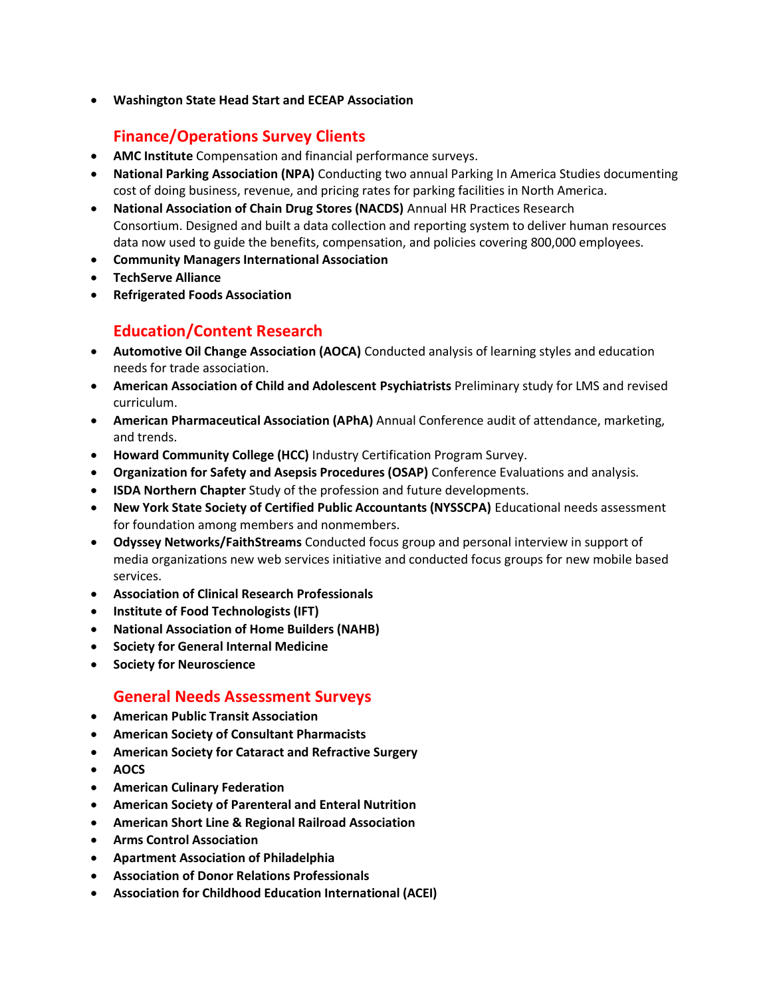• **Washington State Head Start and ECEAP Association**

# **Finance/Operations Survey Clients**

- **AMC Institute** Compensation and financial performance surveys.
- **National Parking Association (NPA)** Conducting two annual Parking In America Studies documenting cost of doing business, revenue, and pricing rates for parking facilities in North America.
- **National Association of Chain Drug Stores (NACDS)** Annual HR Practices Research Consortium. Designed and built a data collection and reporting system to deliver human resources data now used to guide the benefits, compensation, and policies covering 800,000 employees.
- **Community Managers International Association**
- **TechServe Alliance**
- **Refrigerated Foods Association**

## **Education/Content Research**

- **Automotive Oil Change Association (AOCA)** Conducted analysis of learning styles and education needs for trade association.
- **American Association of Child and Adolescent Psychiatrists** Preliminary study for LMS and revised curriculum.
- **American Pharmaceutical Association (APhA)** Annual Conference audit of attendance, marketing, and trends.
- **Howard Community College (HCC)** Industry Certification Program Survey.
- **Organization for Safety and Asepsis Procedures (OSAP)** Conference Evaluations and analysis.
- **ISDA Northern Chapter** Study of the profession and future developments.
- **New York State Society of Certified Public Accountants (NYSSCPA)** Educational needs assessment for foundation among members and nonmembers.
- **Odyssey Networks/FaithStreams** Conducted focus group and personal interview in support of media organizations new web services initiative and conducted focus groups for new mobile based services.
- **Association of Clinical Research Professionals**
- **Institute of Food Technologists (IFT)**
- **National Association of Home Builders (NAHB)**
- **Society for General Internal Medicine**
- **Society for Neuroscience**

## **General Needs Assessment Surveys**

- **American Public Transit Association**
- **American Society of Consultant Pharmacists**
- **American Society for Cataract and Refractive Surgery**
- **AOCS**
- **American Culinary Federation**
- **American Society of Parenteral and Enteral Nutrition**
- **American Short Line & Regional Railroad Association**
- **Arms Control Association**
- **Apartment Association of Philadelphia**
- **Association of Donor Relations Professionals**
- **Association for Childhood Education International (ACEI)**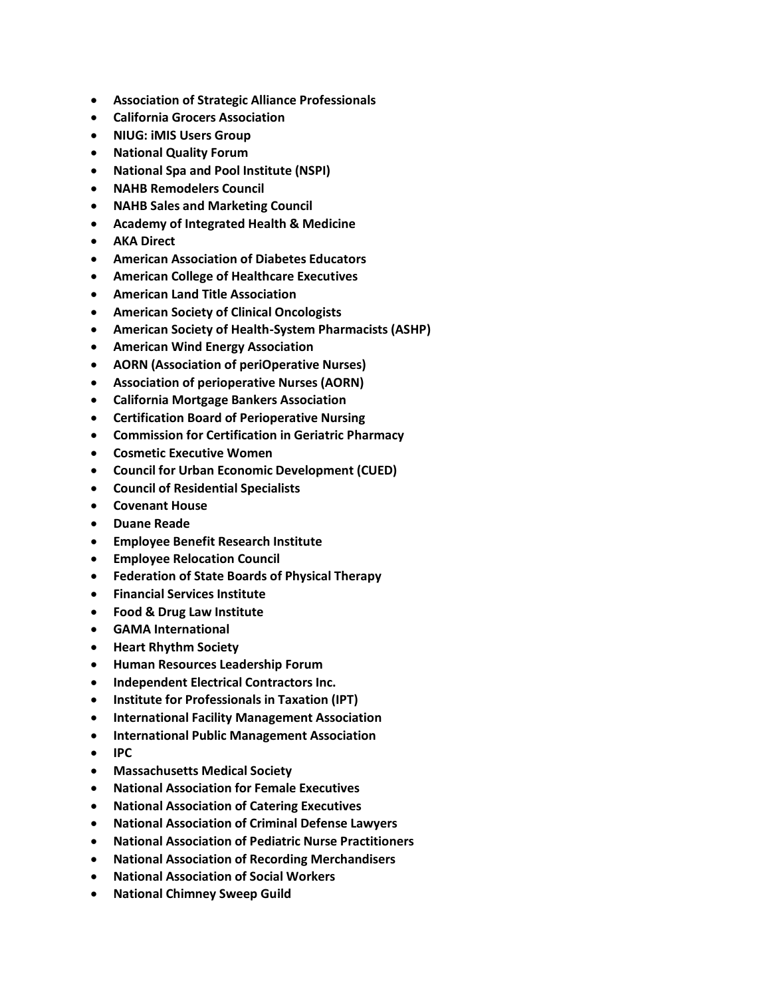- **Association of Strategic Alliance Professionals**
- **California Grocers Association**
- **NIUG: iMIS Users Group**
- **National Quality Forum**
- **National Spa and Pool Institute (NSPI)**
- **NAHB Remodelers Council**
- **NAHB Sales and Marketing Council**
- **Academy of Integrated Health & Medicine**
- **AKA Direct**
- **American Association of Diabetes Educators**
- **American College of Healthcare Executives**
- **American Land Title Association**
- **American Society of Clinical Oncologists**
- **American Society of Health-System Pharmacists (ASHP)**
- **American Wind Energy Association**
- **AORN (Association of periOperative Nurses)**
- **Association of perioperative Nurses (AORN)**
- **California Mortgage Bankers Association**
- **Certification Board of Perioperative Nursing**
- **Commission for Certification in Geriatric Pharmacy**
- **Cosmetic Executive Women**
- **Council for Urban Economic Development (CUED)**
- **Council of Residential Specialists**
- **Covenant House**
- **Duane Reade**
- **Employee Benefit Research Institute**
- **Employee Relocation Council**
- **Federation of State Boards of Physical Therapy**
- **Financial Services Institute**
- **Food & Drug Law Institute**
- **GAMA International**
- **Heart Rhythm Society**
- **Human Resources Leadership Forum**
- **Independent Electrical Contractors Inc.**
- **Institute for Professionals in Taxation (IPT)**
- **International Facility Management Association**
- **International Public Management Association**
- **IPC**
- **Massachusetts Medical Society**
- **National Association for Female Executives**
- **National Association of Catering Executives**
- **National Association of Criminal Defense Lawyers**
- **National Association of Pediatric Nurse Practitioners**
- **National Association of Recording Merchandisers**
- **National Association of Social Workers**
- **National Chimney Sweep Guild**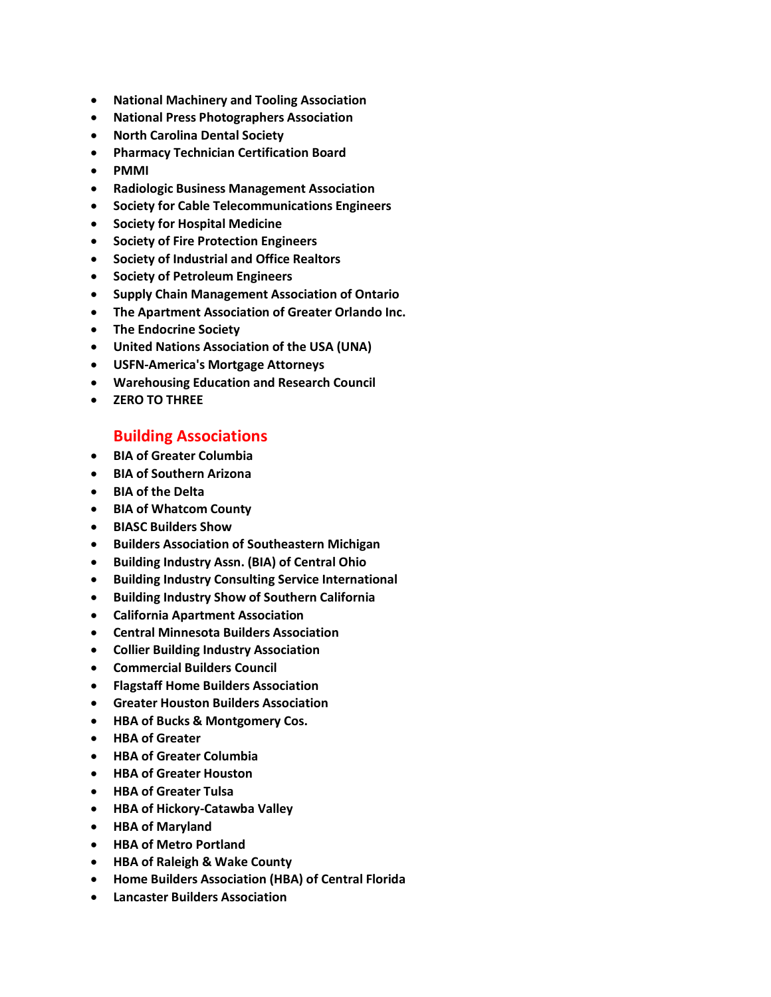- **National Machinery and Tooling Association**
- **National Press Photographers Association**
- **North Carolina Dental Society**
- **Pharmacy Technician Certification Board**
- **PMMI**
- **Radiologic Business Management Association**
- **Society for Cable Telecommunications Engineers**
- **Society for Hospital Medicine**
- **Society of Fire Protection Engineers**
- **Society of Industrial and Office Realtors**
- **Society of Petroleum Engineers**
- **Supply Chain Management Association of Ontario**
- **The Apartment Association of Greater Orlando Inc.**
- **The Endocrine Society**
- **United Nations Association of the USA (UNA)**
- **USFN-America's Mortgage Attorneys**
- **Warehousing Education and Research Council**
- **ZERO TO THREE**

## **Building Associations**

- **BIA of Greater Columbia**
- **BIA of Southern Arizona**
- **BIA of the Delta**
- **BIA of Whatcom County**
- **BIASC Builders Show**
- **Builders Association of Southeastern Michigan**
- **Building Industry Assn. (BIA) of Central Ohio**
- **Building Industry Consulting Service International**
- **Building Industry Show of Southern California**
- **California Apartment Association**
- **Central Minnesota Builders Association**
- **Collier Building Industry Association**
- **Commercial Builders Council**
- **Flagstaff Home Builders Association**
- **Greater Houston Builders Association**
- **HBA of Bucks & Montgomery Cos.**
- **HBA of Greater**
- **HBA of Greater Columbia**
- **HBA of Greater Houston**
- **HBA of Greater Tulsa**
- **HBA of Hickory-Catawba Valley**
- **HBA of Maryland**
- **HBA of Metro Portland**
- **HBA of Raleigh & Wake County**
- **Home Builders Association (HBA) of Central Florida**
- **Lancaster Builders Association**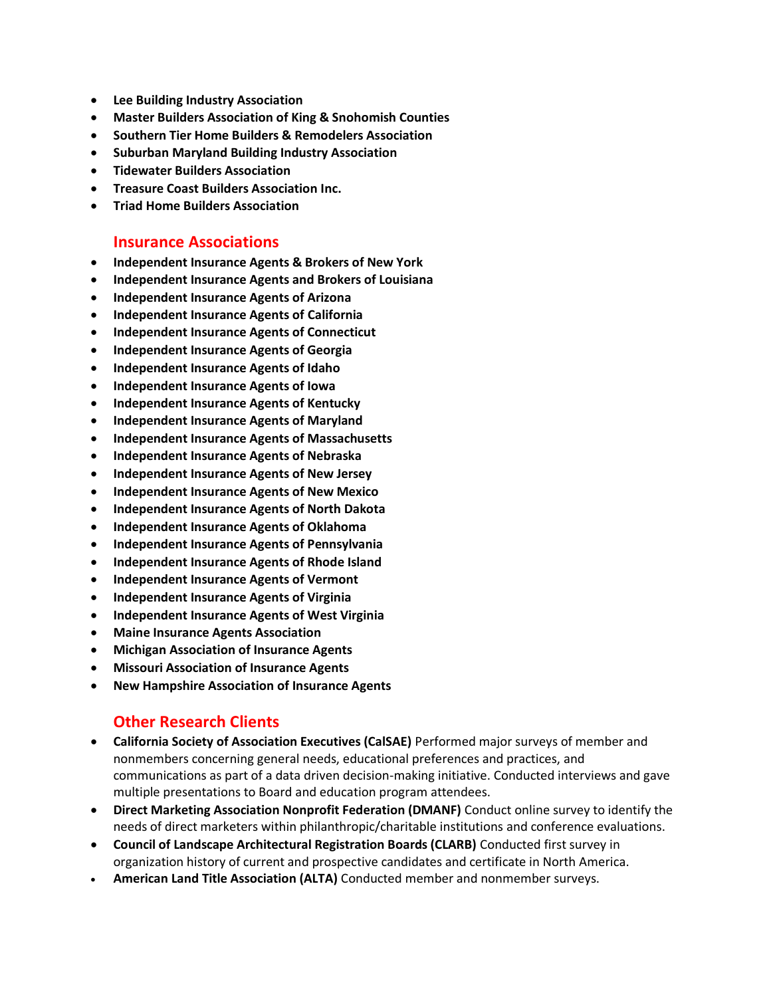- **Lee Building Industry Association**
- **Master Builders Association of King & Snohomish Counties**
- **Southern Tier Home Builders & Remodelers Association**
- **Suburban Maryland Building Industry Association**
- **Tidewater Builders Association**
- **Treasure Coast Builders Association Inc.**
- **Triad Home Builders Association**

#### **Insurance Associations**

- **Independent Insurance Agents & Brokers of New York**
- **Independent Insurance Agents and Brokers of Louisiana**
- **Independent Insurance Agents of Arizona**
- **Independent Insurance Agents of California**
- **Independent Insurance Agents of Connecticut**
- **Independent Insurance Agents of Georgia**
- **Independent Insurance Agents of Idaho**
- **Independent Insurance Agents of Iowa**
- **Independent Insurance Agents of Kentucky**
- **Independent Insurance Agents of Maryland**
- **Independent Insurance Agents of Massachusetts**
- **Independent Insurance Agents of Nebraska**
- **Independent Insurance Agents of New Jersey**
- **Independent Insurance Agents of New Mexico**
- **Independent Insurance Agents of North Dakota**
- **Independent Insurance Agents of Oklahoma**
- **Independent Insurance Agents of Pennsylvania**
- **Independent Insurance Agents of Rhode Island**
- **Independent Insurance Agents of Vermont**
- **Independent Insurance Agents of Virginia**
- **Independent Insurance Agents of West Virginia**
- **Maine Insurance Agents Association**
- **Michigan Association of Insurance Agents**
- **Missouri Association of Insurance Agents**
- **New Hampshire Association of Insurance Agents**

### **Other Research Clients**

- **California Society of Association Executives (CalSAE)** Performed major surveys of member and nonmembers concerning general needs, educational preferences and practices, and communications as part of a data driven decision-making initiative. Conducted interviews and gave multiple presentations to Board and education program attendees.
- **Direct Marketing Association Nonprofit Federation (DMANF)** Conduct online survey to identify the needs of direct marketers within philanthropic/charitable institutions and conference evaluations.
- **Council of Landscape Architectural Registration Boards (CLARB)** Conducted first survey in organization history of current and prospective candidates and certificate in North America.
- **American Land Title Association (ALTA)** Conducted member and nonmember surveys.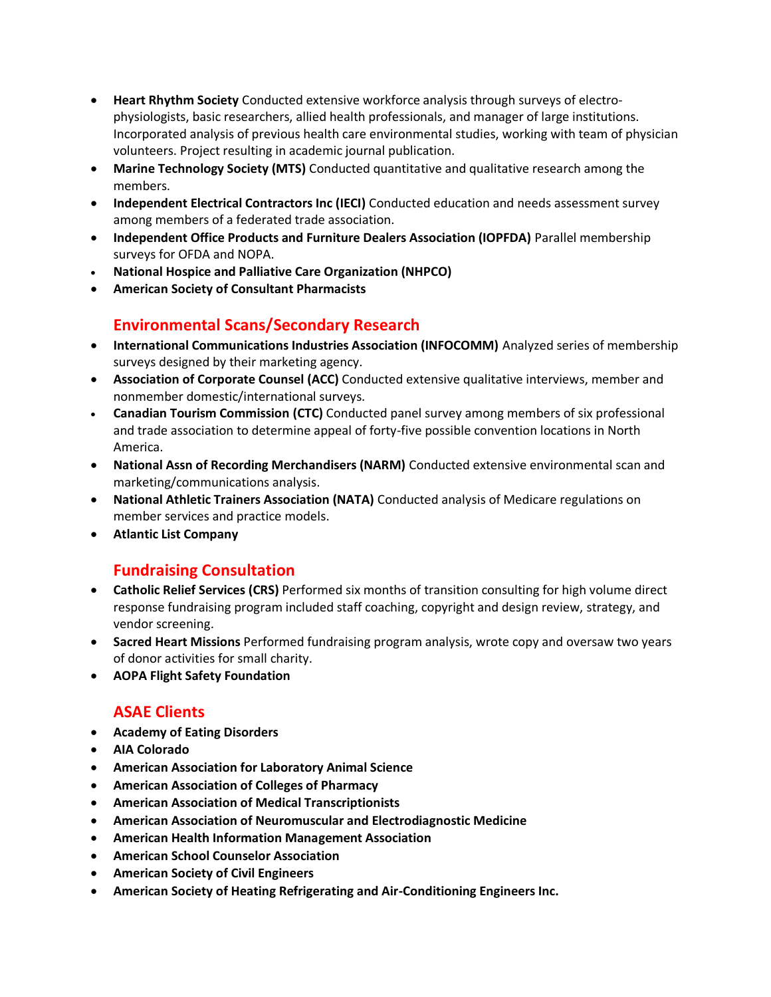- **Heart Rhythm Society** Conducted extensive workforce analysis through surveys of electrophysiologists, basic researchers, allied health professionals, and manager of large institutions. Incorporated analysis of previous health care environmental studies, working with team of physician volunteers. Project resulting in academic journal publication.
- **Marine Technology Society (MTS)** Conducted quantitative and qualitative research among the members.
- **Independent Electrical Contractors Inc (IECI)** Conducted education and needs assessment survey among members of a federated trade association.
- **Independent Office Products and Furniture Dealers Association (IOPFDA)** Parallel membership surveys for OFDA and NOPA.
- **National Hospice and Palliative Care Organization (NHPCO)**
- **American Society of Consultant Pharmacists**

# **Environmental Scans/Secondary Research**

- **International Communications Industries Association (INFOCOMM)** Analyzed series of membership surveys designed by their marketing agency.
- **Association of Corporate Counsel (ACC)** Conducted extensive qualitative interviews, member and nonmember domestic/international surveys.
- **Canadian Tourism Commission (CTC)** Conducted panel survey among members of six professional and trade association to determine appeal of forty-five possible convention locations in North America.
- **National Assn of Recording Merchandisers (NARM)** Conducted extensive environmental scan and marketing/communications analysis.
- **National Athletic Trainers Association (NATA)** Conducted analysis of Medicare regulations on member services and practice models.
- **Atlantic List Company**

# **Fundraising Consultation**

- **Catholic Relief Services (CRS)** Performed six months of transition consulting for high volume direct response fundraising program included staff coaching, copyright and design review, strategy, and vendor screening.
- **Sacred Heart Missions** Performed fundraising program analysis, wrote copy and oversaw two years of donor activities for small charity.
- **AOPA Flight Safety Foundation**

# **ASAE Clients**

- **Academy of Eating Disorders**
- **AIA Colorado**
- **American Association for Laboratory Animal Science**
- **American Association of Colleges of Pharmacy**
- **American Association of Medical Transcriptionists**
- **American Association of Neuromuscular and Electrodiagnostic Medicine**
- **American Health Information Management Association**
- **American School Counselor Association**
- **American Society of Civil Engineers**
- **American Society of Heating Refrigerating and Air-Conditioning Engineers Inc.**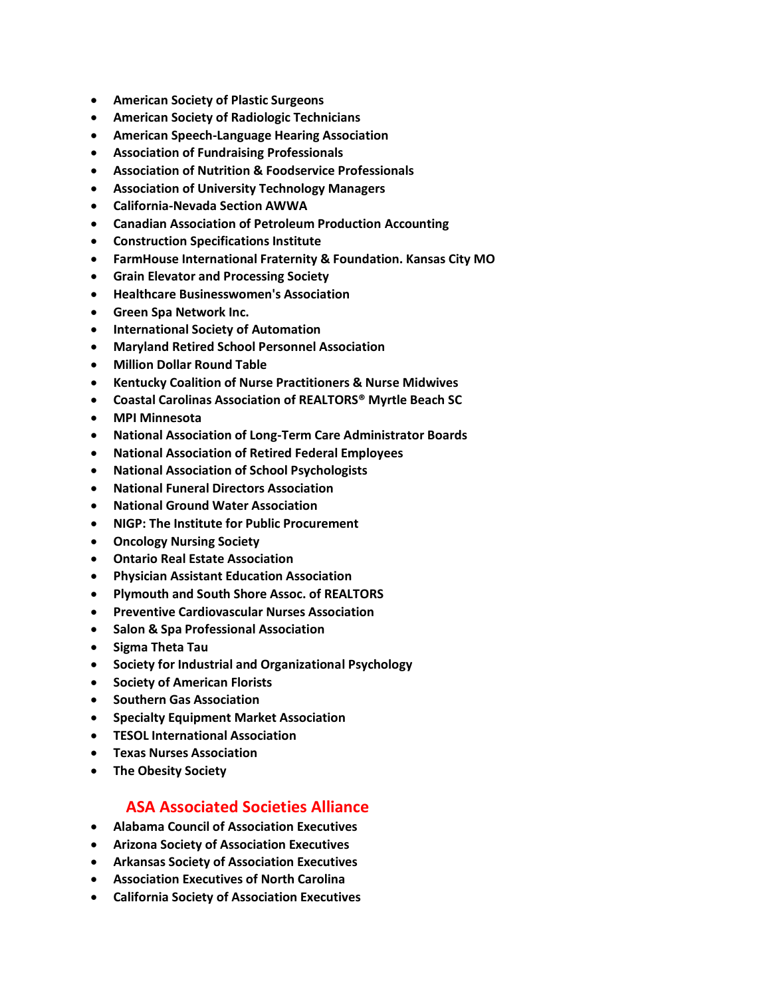- **American Society of Plastic Surgeons**
- **American Society of Radiologic Technicians**
- **American Speech-Language Hearing Association**
- **Association of Fundraising Professionals**
- **Association of Nutrition & Foodservice Professionals**
- **Association of University Technology Managers**
- **California-Nevada Section AWWA**
- **Canadian Association of Petroleum Production Accounting**
- **Construction Specifications Institute**
- **FarmHouse International Fraternity & Foundation. Kansas City MO**
- **Grain Elevator and Processing Society**
- **Healthcare Businesswomen's Association**
- **Green Spa Network Inc.**
- **International Society of Automation**
- **Maryland Retired School Personnel Association**
- **Million Dollar Round Table**
- **Kentucky Coalition of Nurse Practitioners & Nurse Midwives**
- **Coastal Carolinas Association of REALTORS® Myrtle Beach SC**
- **MPI Minnesota**
- **National Association of Long-Term Care Administrator Boards**
- **National Association of Retired Federal Employees**
- **National Association of School Psychologists**
- **National Funeral Directors Association**
- **National Ground Water Association**
- **NIGP: The Institute for Public Procurement**
- **Oncology Nursing Society**
- **Ontario Real Estate Association**
- **Physician Assistant Education Association**
- **Plymouth and South Shore Assoc. of REALTORS**
- **Preventive Cardiovascular Nurses Association**
- **Salon & Spa Professional Association**
- **Sigma Theta Tau**
- **Society for Industrial and Organizational Psychology**
- **Society of American Florists**
- **Southern Gas Association**
- **Specialty Equipment Market Association**
- **TESOL International Association**
- **Texas Nurses Association**
- **The Obesity Society**

### **ASA Associated Societies Alliance**

- **Alabama Council of Association Executives**
- **Arizona Society of Association Executives**
- **Arkansas Society of Association Executives**
- **Association Executives of North Carolina**
- **California Society of Association Executives**